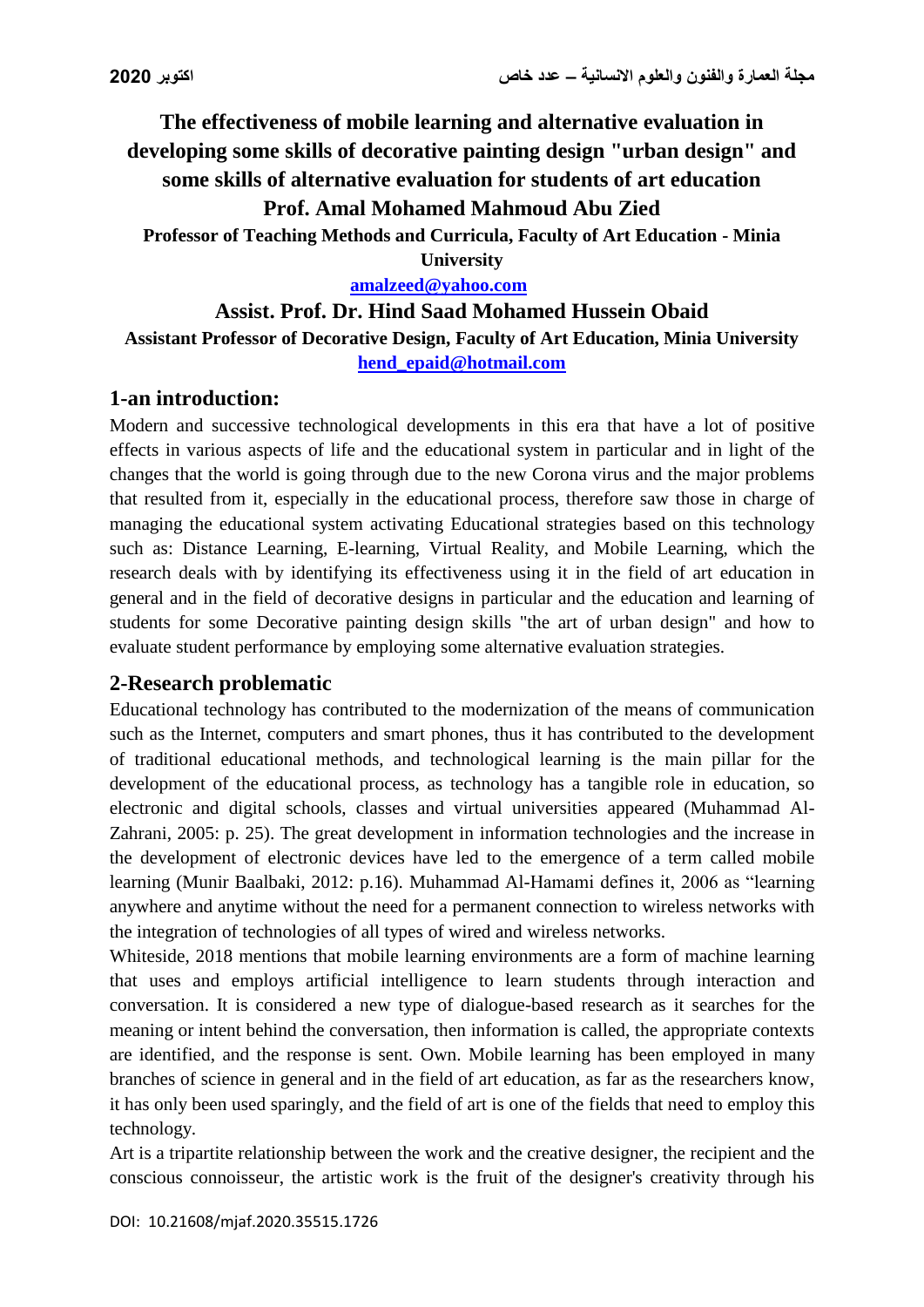**The effectiveness of mobile learning and alternative evaluation in developing some skills of decorative painting design "urban design" and some skills of alternative evaluation for students of art education**

**Prof. Amal Mohamed Mahmoud Abu Zied**

**Professor of Teaching Methods and Curricula, Faculty of Art Education - Minia** 

**University**

**[amalzeed@yahoo.com](mailto:amalzeed@yahoo.com)**

# **Assist. Prof. Dr. Hind Saad Mohamed Hussein Obaid Assistant Professor of Decorative Design, Faculty of Art Education, Minia University [hend\\_epaid@hotmail.com](mailto:hend_epaid@hotmail.com)**

# **1-an introduction:**

Modern and successive technological developments in this era that have a lot of positive effects in various aspects of life and the educational system in particular and in light of the changes that the world is going through due to the new Corona virus and the major problems that resulted from it, especially in the educational process, therefore saw those in charge of managing the educational system activating Educational strategies based on this technology such as: Distance Learning, E-learning, Virtual Reality, and Mobile Learning, which the research deals with by identifying its effectiveness using it in the field of art education in general and in the field of decorative designs in particular and the education and learning of students for some Decorative painting design skills "the art of urban design" and how to evaluate student performance by employing some alternative evaluation strategies.

# **2-Research problematic**

Educational technology has contributed to the modernization of the means of communication such as the Internet, computers and smart phones, thus it has contributed to the development of traditional educational methods, and technological learning is the main pillar for the development of the educational process, as technology has a tangible role in education, so electronic and digital schools, classes and virtual universities appeared (Muhammad Al-Zahrani, 2005: p. 25). The great development in information technologies and the increase in the development of electronic devices have led to the emergence of a term called mobile learning (Munir Baalbaki, 2012: p.16). Muhammad Al-Hamami defines it, 2006 as "learning anywhere and anytime without the need for a permanent connection to wireless networks with the integration of technologies of all types of wired and wireless networks.

Whiteside, 2018 mentions that mobile learning environments are a form of machine learning that uses and employs artificial intelligence to learn students through interaction and conversation. It is considered a new type of dialogue-based research as it searches for the meaning or intent behind the conversation, then information is called, the appropriate contexts are identified, and the response is sent. Own. Mobile learning has been employed in many branches of science in general and in the field of art education, as far as the researchers know, it has only been used sparingly, and the field of art is one of the fields that need to employ this technology.

Art is a tripartite relationship between the work and the creative designer, the recipient and the conscious connoisseur, the artistic work is the fruit of the designer's creativity through his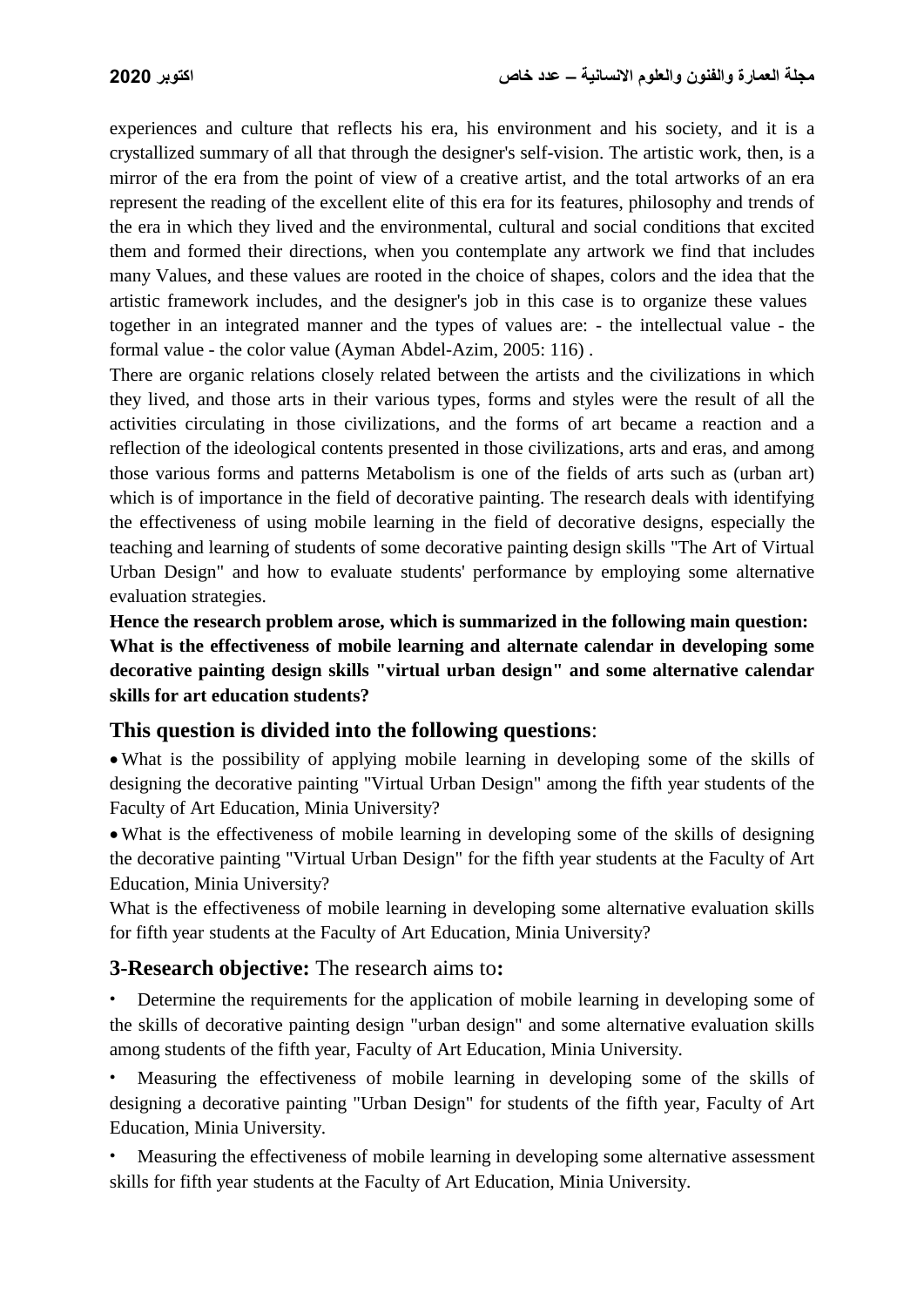experiences and culture that reflects his era, his environment and his society, and it is a crystallized summary of all that through the designer's self-vision. The artistic work, then, is a mirror of the era from the point of view of a creative artist, and the total artworks of an era represent the reading of the excellent elite of this era for its features, philosophy and trends of the era in which they lived and the environmental, cultural and social conditions that excited them and formed their directions, when you contemplate any artwork we find that includes many Values, and these values are rooted in the choice of shapes, colors and the idea that the artistic framework includes, and the designer's job in this case is to organize these values together in an integrated manner and the types of values are: - the intellectual value - the formal value - the color value (Ayman Abdel-Azim, 2005: 116) .

There are organic relations closely related between the artists and the civilizations in which they lived, and those arts in their various types, forms and styles were the result of all the activities circulating in those civilizations, and the forms of art became a reaction and a reflection of the ideological contents presented in those civilizations, arts and eras, and among those various forms and patterns Metabolism is one of the fields of arts such as (urban art) which is of importance in the field of decorative painting. The research deals with identifying the effectiveness of using mobile learning in the field of decorative designs, especially the teaching and learning of students of some decorative painting design skills "The Art of Virtual Urban Design" and how to evaluate students' performance by employing some alternative evaluation strategies.

**Hence the research problem arose, which is summarized in the following main question: What is the effectiveness of mobile learning and alternate calendar in developing some decorative painting design skills "virtual urban design" and some alternative calendar skills for art education students?**

### **This question is divided into the following questions**:

 What is the possibility of applying mobile learning in developing some of the skills of designing the decorative painting "Virtual Urban Design" among the fifth year students of the Faculty of Art Education, Minia University?

 What is the effectiveness of mobile learning in developing some of the skills of designing the decorative painting "Virtual Urban Design" for the fifth year students at the Faculty of Art Education, Minia University?

What is the effectiveness of mobile learning in developing some alternative evaluation skills for fifth year students at the Faculty of Art Education, Minia University?

### **3-Research objective:** The research aims to**:**

• Determine the requirements for the application of mobile learning in developing some of the skills of decorative painting design "urban design" and some alternative evaluation skills among students of the fifth year, Faculty of Art Education, Minia University.

• Measuring the effectiveness of mobile learning in developing some of the skills of designing a decorative painting "Urban Design" for students of the fifth year, Faculty of Art Education, Minia University.

• Measuring the effectiveness of mobile learning in developing some alternative assessment skills for fifth year students at the Faculty of Art Education, Minia University.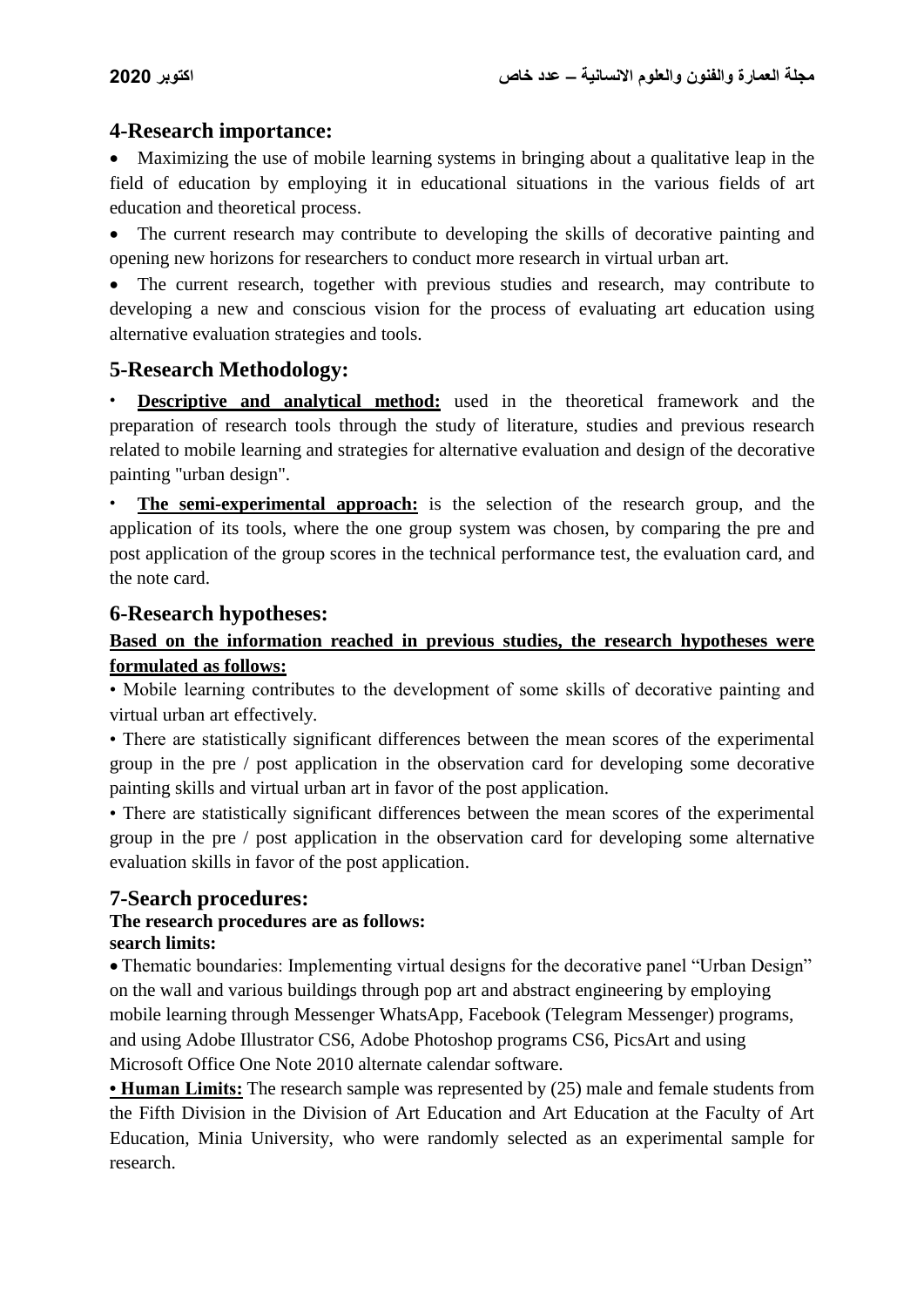### **4-Research importance:**

 Maximizing the use of mobile learning systems in bringing about a qualitative leap in the field of education by employing it in educational situations in the various fields of art education and theoretical process.

• The current research may contribute to developing the skills of decorative painting and opening new horizons for researchers to conduct more research in virtual urban art.

 The current research, together with previous studies and research, may contribute to developing a new and conscious vision for the process of evaluating art education using alternative evaluation strategies and tools.

# **5-Research Methodology:**

**Descriptive and analytical method:** used in the theoretical framework and the preparation of research tools through the study of literature, studies and previous research related to mobile learning and strategies for alternative evaluation and design of the decorative painting "urban design".

**The semi-experimental approach:** is the selection of the research group, and the application of its tools, where the one group system was chosen, by comparing the pre and post application of the group scores in the technical performance test, the evaluation card, and the note card.

#### **6-Research hypotheses:**

### **Based on the information reached in previous studies, the research hypotheses were formulated as follows:**

• Mobile learning contributes to the development of some skills of decorative painting and virtual urban art effectively.

• There are statistically significant differences between the mean scores of the experimental group in the pre / post application in the observation card for developing some decorative painting skills and virtual urban art in favor of the post application.

• There are statistically significant differences between the mean scores of the experimental group in the pre / post application in the observation card for developing some alternative evaluation skills in favor of the post application.

### **7-Search procedures:**

#### **The research procedures are as follows: search limits:**

• Thematic boundaries: Implementing virtual designs for the decorative panel "Urban Design" on the wall and various buildings through pop art and abstract engineering by employing mobile learning through Messenger WhatsApp, Facebook (Telegram Messenger) programs, and using Adobe Illustrator CS6, Adobe Photoshop programs CS6, PicsArt and using Microsoft Office One Note 2010 alternate calendar software.

**• Human Limits:** The research sample was represented by (25) male and female students from the Fifth Division in the Division of Art Education and Art Education at the Faculty of Art Education, Minia University, who were randomly selected as an experimental sample for research.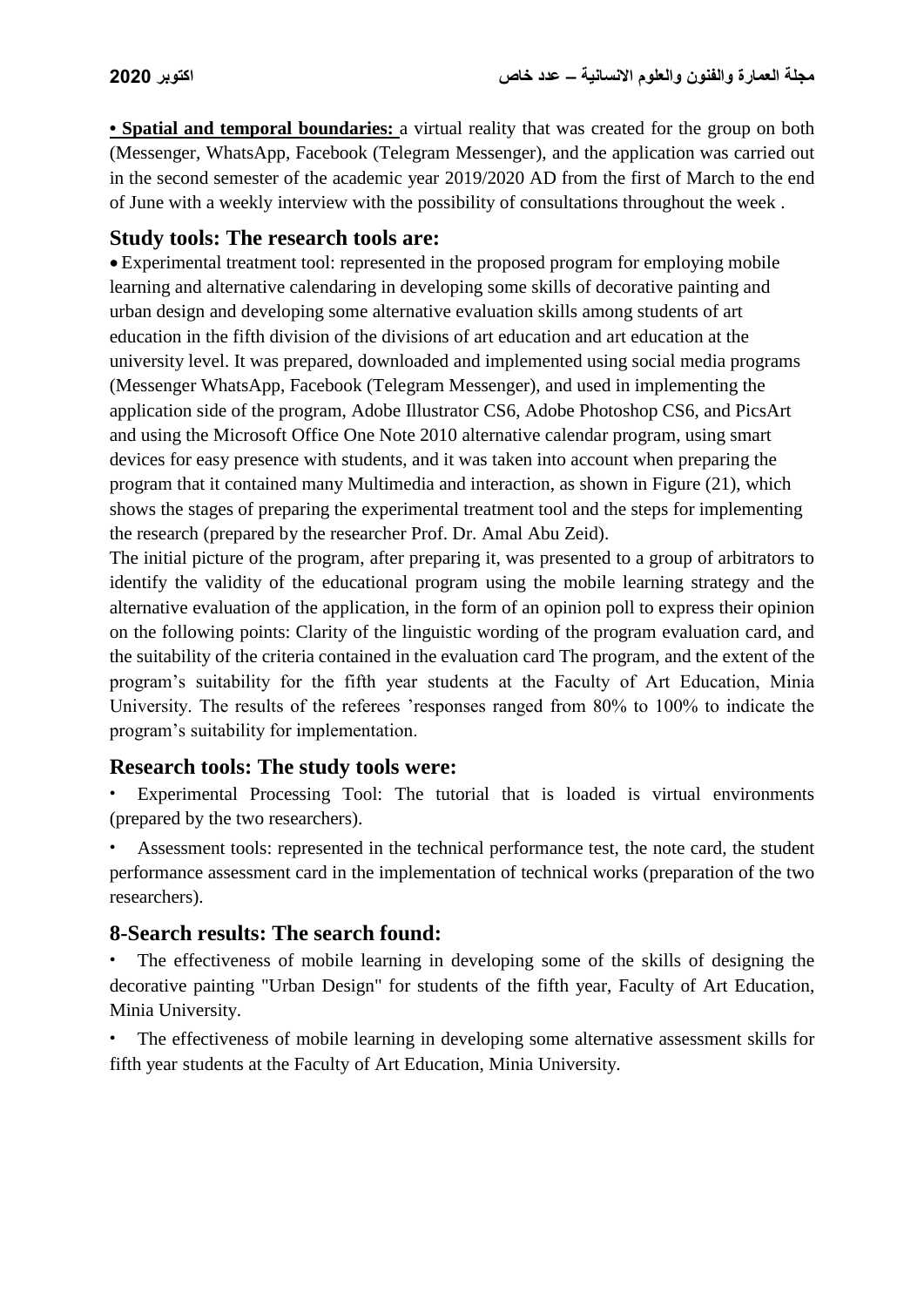• **Spatial and temporal boundaries:** a virtual reality that was created for the group on both (Messenger, WhatsApp, Facebook (Telegram Messenger), and the application was carried out in the second semester of the academic year 2019/2020 AD from the first of March to the end of June with a weekly interview with the possibility of consultations throughout the week .

#### **Study tools: The research tools are:**

 Experimental treatment tool: represented in the proposed program for employing mobile learning and alternative calendaring in developing some skills of decorative painting and urban design and developing some alternative evaluation skills among students of art education in the fifth division of the divisions of art education and art education at the university level. It was prepared, downloaded and implemented using social media programs (Messenger WhatsApp, Facebook (Telegram Messenger), and used in implementing the application side of the program, Adobe Illustrator CS6, Adobe Photoshop CS6, and PicsArt and using the Microsoft Office One Note 2010 alternative calendar program, using smart devices for easy presence with students, and it was taken into account when preparing the program that it contained many Multimedia and interaction, as shown in Figure (21), which shows the stages of preparing the experimental treatment tool and the steps for implementing the research (prepared by the researcher Prof. Dr. Amal Abu Zeid).

The initial picture of the program, after preparing it, was presented to a group of arbitrators to identify the validity of the educational program using the mobile learning strategy and the alternative evaluation of the application, in the form of an opinion poll to express their opinion on the following points: Clarity of the linguistic wording of the program evaluation card, and the suitability of the criteria contained in the evaluation card The program, and the extent of the program's suitability for the fifth year students at the Faculty of Art Education, Minia University. The results of the referees 'responses ranged from 80% to 100% to indicate the program's suitability for implementation.

### **Research tools: The study tools were:**

- Experimental Processing Tool: The tutorial that is loaded is virtual environments (prepared by the two researchers).
- Assessment tools: represented in the technical performance test, the note card, the student performance assessment card in the implementation of technical works (preparation of the two researchers).

### **8-Search results: The search found:**

- The effectiveness of mobile learning in developing some of the skills of designing the decorative painting "Urban Design" for students of the fifth year, Faculty of Art Education, Minia University.
- The effectiveness of mobile learning in developing some alternative assessment skills for fifth year students at the Faculty of Art Education, Minia University.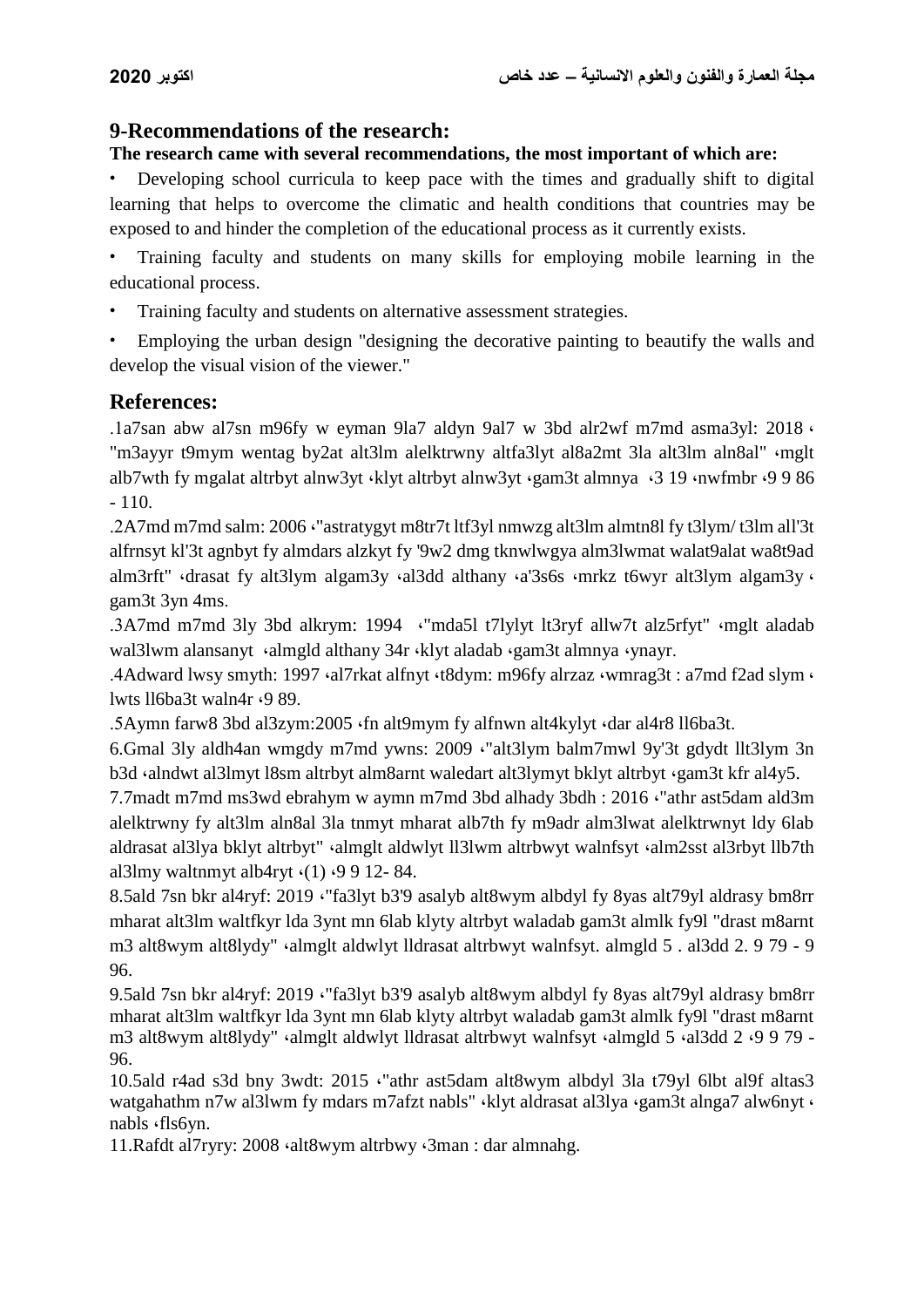# **9-Recommendations of the research:**

# **The research came with several recommendations, the most important of which are:**

• Developing school curricula to keep pace with the times and gradually shift to digital learning that helps to overcome the climatic and health conditions that countries may be exposed to and hinder the completion of the educational process as it currently exists.

• Training faculty and students on many skills for employing mobile learning in the educational process.

Training faculty and students on alternative assessment strategies.

• Employing the urban design "designing the decorative painting to beautify the walls and develop the visual vision of the viewer."

# **References:**

.1a7san abw al7sn m96fy w eyman 9la7 aldyn 9al7 w 3bd alr2wf m7md asma3yl: 2018 ، "m3ayyr t9mym wentag by2at alt3lm alelktrwny altfa3lyt al8a2mt 3la alt3lm aln8al" ،mglt alb7wth fy mgalat altrbyt alnw3yt ،klyt altrbyt alnw3yt ،gam3t almnya ،3 19 ،nwfmbr ،9 9 86 - 110.

.2A7md m7md salm: 2006 ،"astratygyt m8tr7t ltf3yl nmwzg alt3lm almtn8l fy t3lym/ t3lm all'3t alfrnsyt kl'3t agnbyt fy almdars alzkyt fy '9w2 dmg tknwlwgya alm3lwmat walat9alat wa8t9ad alm3rft" (drasat fy alt3lym algam3y (al3dd althany (a'3s6s (mrkz t6wyr alt3lym algam3y (also) gam3t 3yn 4ms.

.3A7md m7md 3ly 3bd alkrym: 1994 ،"mda5l t7lylyt lt3ryf allw7t alz5rfyt" ،mglt aladab wal3lwm alansanyt ·almgld althany 34r ·klyt aladab ·gam3t almnya ·ynayr.

.4Adward lwsy smyth: 1997 ،al7rkat alfnyt ،t8dym: m96fy alrzaz ،wmrag3t : a7md f2ad slym ، lwts ll6ba3t waln4r ،9 89.

.5Aymn farw8 3bd al3zym:2005 ،fn alt9mym fy alfnwn alt4kylyt ،dar al4r8 ll6ba3t.

6.Gmal 3ly aldh4an wmgdy m7md ywns: 2009 ،"alt3lym balm7mwl 9y'3t gdydt llt3lym 3n b3d ·alndwt al3lmyt l8sm altrbyt alm8arnt waledart alt3lymyt bklyt altrbyt ·gam3t kfr al4y5.

7.7madt m7md ms3wd ebrahym w aymn m7md 3bd alhady 3bdh : 2016 ،"athr ast5dam ald3m alelktrwny fy alt3lm aln8al 3la tnmyt mharat alb7th fy m9adr alm3lwat alelktrwnyt ldy 6lab aldrasat al3lya bklyt altrbyt" «almglt aldwlyt ll3lwm altrbwyt walnfsyt «alm2sst al3rbyt llb7th al3lmy waltnmyt alb4ryt ،(1) ،9 9 12- 84.

8.5ald 7sn bkr al4ryf: 2019 ،"fa3lyt b3'9 asalyb alt8wym albdyl fy 8yas alt79yl aldrasy bm8rr mharat alt3lm waltfkyr lda 3ynt mn 6lab klyty altrbyt waladab gam3t almlk fy9l "drast m8arnt m3 alt8wym alt8lydy" ،almglt aldwlyt lldrasat altrbwyt walnfsyt. almgld 5 . al3dd 2. 9 79 - 9 96.

9.5ald 7sn bkr al4ryf: 2019 ،"fa3lyt b3'9 asalyb alt8wym albdyl fy 8yas alt79yl aldrasy bm8rr mharat alt3lm waltfkyr lda 3ynt mn 6lab klyty altrbyt waladab gam3t almlk fy9l "drast m8arnt m3 alt8wym alt8lydy" (almglt aldwlyt lldrasat altrbwyt walnfsyt (almgld 5 (al3dd 2  $\cdot$ 9 9 79 -96.

10.5ald r4ad s3d bny 3wdt: 2015 ،"athr ast5dam alt8wym albdyl 3la t79yl 6lbt al9f altas3 watgahathm n7w al3lwm fy mdars m7afzt nabls" ·klyt aldrasat al3lya ·gam3t alnga7 alw6nyt · nabls ،fls6yn.

11.Rafdt al7ryry: 2008 ،alt8wym altrbwy ،3man : dar almnahg.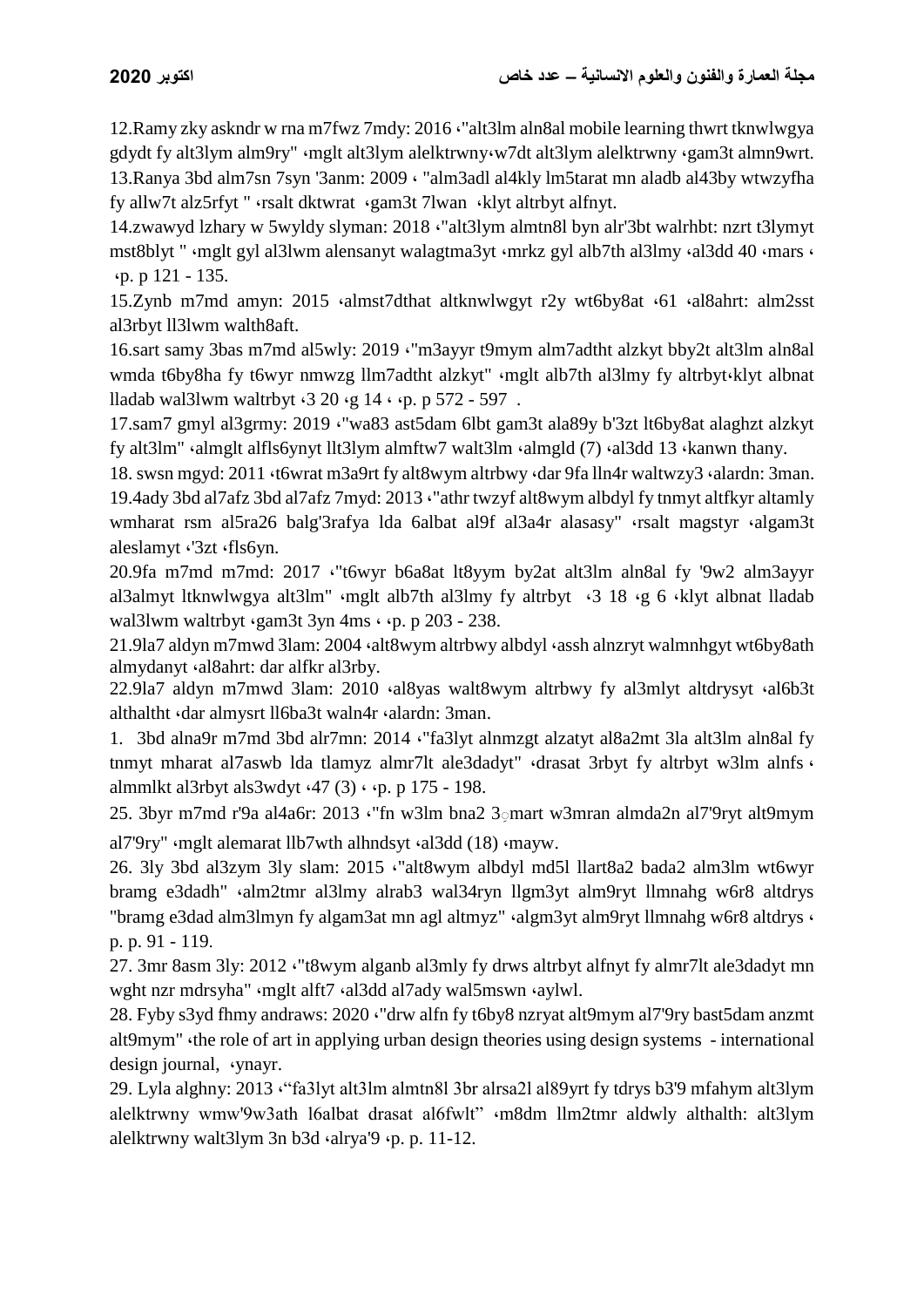12.Ramy zky askndr w rna m7fwz 7mdy: 2016 ،"alt3lm aln8al mobile learning thwrt tknwlwgya gdydt fy alt3lym alm9ry" ،mglt alt3lym alelktrwny،w7dt alt3lym alelktrwny ،gam3t almn9wrt. 13.Ranya 3bd alm7sn 7syn '3anm: 2009 ، "alm3adl al4kly lm5tarat mn aladb al43by wtwzyfha fy allw7t alz5rfyt " ،rsalt dktwrat ،gam3t 7lwan ،klyt altrbyt alfnyt.

14.zwawyd lzhary w 5wyldy slyman: 2018 ،"alt3lym almtn8l byn alr'3bt walrhbt: nzrt t3lymyt mst8blyt " ·mglt gyl al3lwm alensanyt walagtma3yt ·mrkz gyl alb7th al3lmy ·al3dd 40 ·mars · ،p. p 121 - 135.

15.Zynb m7md amyn: 2015 ،almst7dthat altknwlwgyt r2y wt6by8at ،61 ،al8ahrt: alm2sst al3rbyt ll3lwm walth8aft.

16.sart samy 3bas m7md al5wly: 2019 ،"m3ayyr t9mym alm7adtht alzkyt bby2t alt3lm aln8al wmda t6by8ha fy t6wyr nmwzg llm7adtht alzkyt" «mglt alb7th al3lmy fy altrbyt«klyt albnat lladab wal3lwm waltrbyt  $\cdot$ 3 20  $\cdot$ g 14  $\cdot$   $\cdot$ p. p 572 - 597.

17.sam7 gmyl al3grmy: 2019 ،"wa83 ast5dam 6lbt gam3t ala89y b'3zt lt6by8at alaghzt alzkyt fy alt3lm" «almglt alfls6ynyt llt3lym almftw7 walt3lm «almgld (7) «al3dd 13 «kanwn thany.

18. swsn mgyd: 2011 ،t6wrat m3a9rt fy alt8wym altrbwy ،dar 9fa lln4r waltwzy3 ،alardn: 3man. 19.4ady 3bd al7afz 3bd al7afz 7myd: 2013 ،"athr twzyf alt8wym albdyl fy tnmyt altfkyr altamly wmharat rsm al5ra26 balg'3rafya lda 6albat al9f al3a4r alasasy" «rsalt magstyr «algam3t aleslamyt ،'3zt ،fls6yn.

20.9fa m7md m7md: 2017 ،"t6wyr b6a8at lt8yym by2at alt3lm aln8al fy '9w2 alm3ayyr al3almyt ltknwlwgya alt3lm" ،mglt alb7th al3lmy fy altrbyt ،3 18 ،g 6 ،klyt albnat lladab wal3lwm waltrbyt  $\frac{1}{2}$  sum3t 3yn 4ms  $\cdot$   $\cdot$  p. p 203 - 238.

21.9la7 aldyn m7mwd 3lam: 2004 (alt8wym altrbwy albdyl (assh alnzryt walmnhgyt wt6by8ath almydanyt ،al8ahrt: dar alfkr al3rby.

22.9la7 aldyn m7mwd 3lam: 2010 ،al8yas walt8wym altrbwy fy al3mlyt altdrysyt ،al6b3t althaltht ،dar almysrt ll6ba3t waln4r ،alardn: 3man.

1. 3bd alna9r m7md 3bd alr7mn: 2014 ،"fa3lyt alnmzgt alzatyt al8a2mt 3la alt3lm aln8al fy tnmyt mharat al7aswb lda tlamyz almr7lt ale3dadyt" «drasat 3rbyt fy altrbyt w3lm alnfs « almmlkt al3rbyt als3wdyt  $(47 (3) \cdot p. p 175 - 198$ .

25. 3byr m7md r'9a al4a6r: 2013 ،"fn w3lm bna2 3ِ mart w3mran almda2n al7'9ryt alt9mym al7'9ry" «mglt alemarat llb7wth alhndsyt «al3dd (18) «mayw.

26. 3ly 3bd al3zym 3ly slam: 2015 ،"alt8wym albdyl md5l llart8a2 bada2 alm3lm wt6wyr bramg e3dadh" ،alm2tmr al3lmy alrab3 wal34ryn llgm3yt alm9ryt llmnahg w6r8 altdrys "bramg e3dad alm3lmyn fy algam3at mn agl altmyz" «algm3yt alm9ryt llmnahg w6r8 altdrys « p. p. 91 - 119.

27. 3mr 8asm 3ly: 2012 ،"t8wym alganb al3mly fy drws altrbyt alfnyt fy almr7lt ale3dadyt mn wght nzr mdrsyha" «mglt alft7 «al3dd al7ady wal5mswn «aylwl.

28. Fyby s3yd fhmy andraws: 2020 ،"drw alfn fy t6by8 nzryat alt9mym al7'9ry bast5dam anzmt alt9mym" ،the role of art in applying urban design theories using design systems - international design journal, vnayr.

29. Lyla alghny: 2013 ،"fa3lyt alt3lm almtn8l 3br alrsa2l al89yrt fy tdrys b3'9 mfahym alt3lym alelktrwny wmw'9w3ath l6albat drasat al6fwlt" ،m8dm llm2tmr aldwly althalth: alt3lym alelktrwny walt3lym 3n b3d ،alrya'9 ،p. p. 11-12.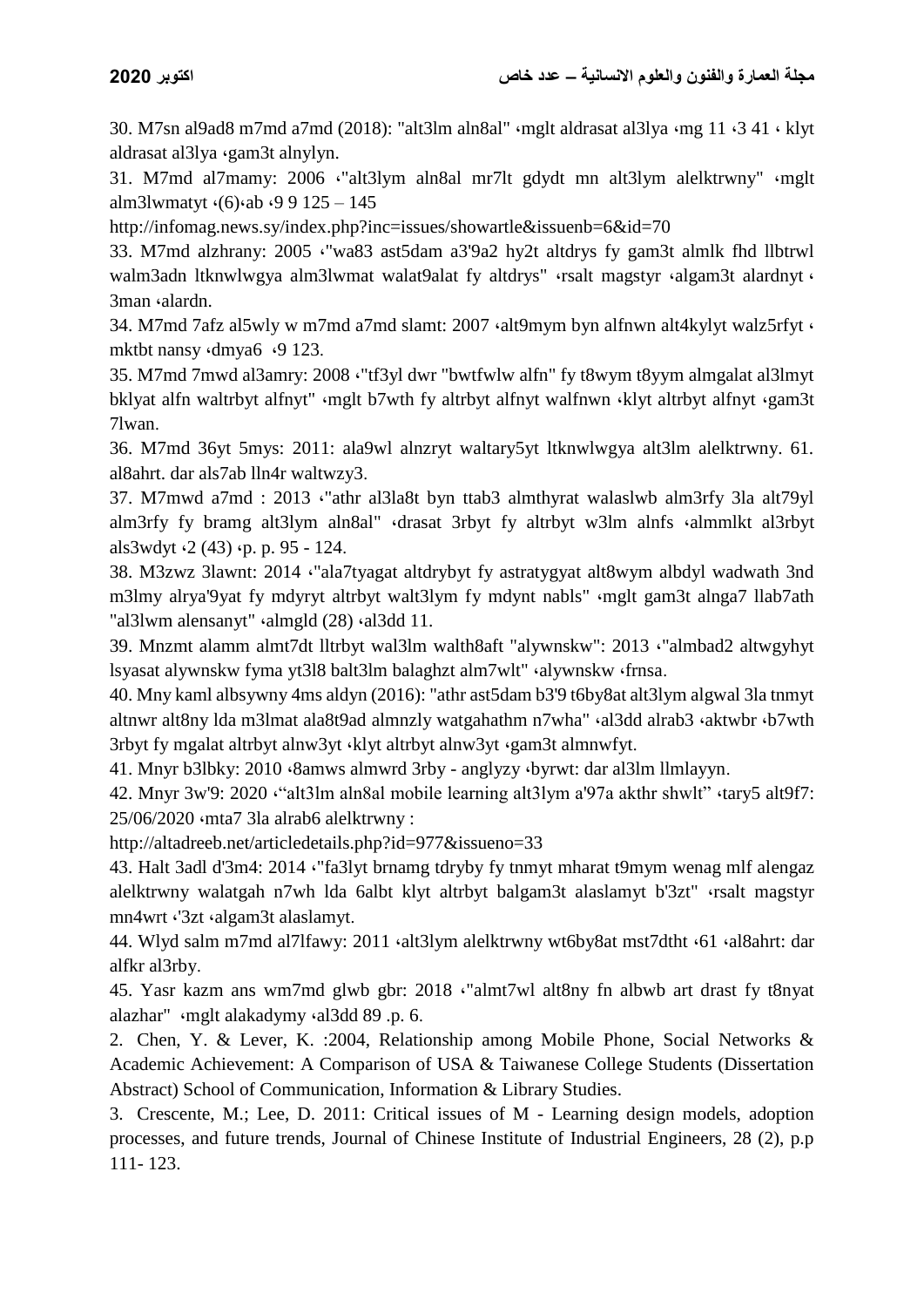30. M7sn al9ad8 m7md a7md (2018): "alt3lm aln8al" ،mglt aldrasat al3lya ،mg 11 ،3 41 ، klyt aldrasat al3lya ،gam3t alnylyn.

31. M7md al7mamy: 2006 ،"alt3lym aln8al mr7lt gdydt mn alt3lym alelktrwny" ،mglt alm3lwmatyt ،(6)،ab ،9 9 125 – 145

http://infomag.news.sy/index.php?inc=issues/showartle&issuenb=6&id=70

33. M7md alzhrany: 2005 ،"wa83 ast5dam a3'9a2 hy2t altdrys fy gam3t almlk fhd llbtrwl walm3adn ltknwlwgya alm3lwmat walat9alat fy altdrys" ·rsalt magstyr ·algam3t alardnyt · 3man *salardn*.

34. M7md 7afz al5wly w m7md a7md slamt: 2007 ،alt9mym byn alfnwn alt4kylyt walz5rfyt ، mktbt nansy (dmya6 (9 123.

35. M7md 7mwd al3amry: 2008 ،"tf3yl dwr "bwtfwlw alfn" fy t8wym t8yym almgalat al3lmyt bklyat alfn waltrbyt alfnyt" ،mglt b7wth fy altrbyt alfnyt walfnwn ،klyt altrbyt alfnyt ،gam3t 7lwan.

36. M7md 36yt 5mys: 2011: ala9wl alnzryt waltary5yt ltknwlwgya alt3lm alelktrwny. 61. al8ahrt. dar als7ab lln4r waltwzy3.

37. M7mwd a7md : 2013 ،"athr al3la8t byn ttab3 almthyrat walaslwb alm3rfy 3la alt79yl alm3rfy fy bramg alt3lym aln8al" ،drasat 3rbyt fy altrbyt w3lm alnfs ،almmlkt al3rbyt als3wdyt  $(2 (43)$   $\phi$ , p. 95 - 124.

38. M3zwz 3lawnt: 2014 ،"ala7tyagat altdrybyt fy astratygyat alt8wym albdyl wadwath 3nd m3lmy alrya'9yat fy mdyryt altrbyt walt3lym fy mdynt nabls" «mglt gam3t alnga7 llab7ath "al3lwm alensanyt" (almgld (28) (al3dd 11.

39. Mnzmt alamm almt7dt lltrbyt wal3lm walth8aft "alywnskw": 2013 ،"almbad2 altwgyhyt lsyasat alywnskw fyma yt3l8 balt3lm balaghzt alm7wlt" ،alywnskw ،frnsa.

40. Mny kaml albsywny 4ms aldyn (2016): "athr ast5dam b3'9 t6by8at alt3lym algwal 3la tnmyt altnwr alt8ny lda m3lmat ala8t9ad almnzly watgahathm n7wha" · al3dd alrab3 · aktwbr · b7wth 3rbyt fy mgalat altrbyt alnw3yt ،klyt altrbyt alnw3yt ،gam3t almnwfyt.

41. Mnyr b3lbky: 2010 ،8amws almwrd 3rby - anglyzy ،byrwt: dar al3lm llmlayyn.

42. Mnyr 3w'9: 2020 ،"alt3lm aln8al mobile learning alt3lym a'97a akthr shwlt" ،tary5 alt9f7: 25/06/2020 ،mta7 3la alrab6 alelktrwny :

http://altadreeb.net/articledetails.php?id=977&issueno=33

43. Halt 3adl d'3m4: 2014 ،"fa3lyt brnamg tdryby fy tnmyt mharat t9mym wenag mlf alengaz alelktrwny walatgah n7wh lda 6albt klyt altrbyt balgam3t alaslamyt b'3zt" ،rsalt magstyr mn4wrt ،'3zt ،algam3t alaslamyt.

44. Wlyd salm m7md al7lfawy: 2011 (alt3lym alelktrwny wt6by8at mst7dtht (61 (al8ahrt: dar alfkr al3rby.

45. Yasr kazm ans wm7md glwb gbr: 2018 ،"almt7wl alt8ny fn albwb art drast fy t8nyat alazhar" ،mglt alakadymy ،al3dd 89 .p. 6.

2. Chen, Y. & Lever, K. :2004, Relationship among Mobile Phone, Social Networks & Academic Achievement: A Comparison of USA & Taiwanese College Students (Dissertation Abstract) School of Communication, Information & Library Studies.

3. Crescente, M.; Lee, D. 2011: Critical issues of M - Learning design models, adoption processes, and future trends, Journal of Chinese Institute of Industrial Engineers, 28 (2), p.p 111- 123.